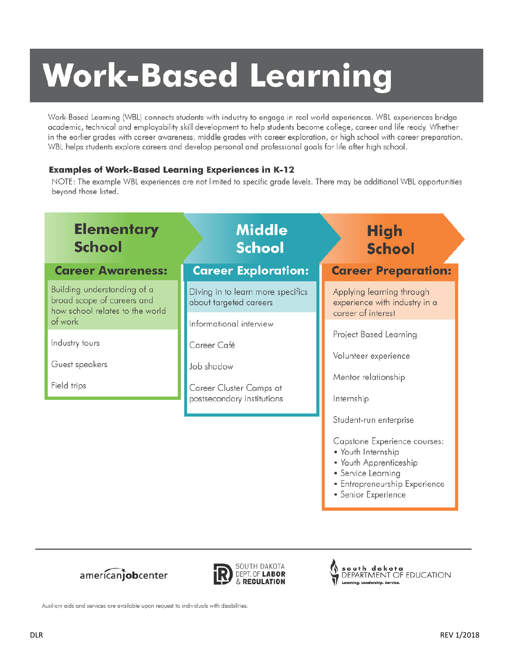# Work-Based Learning

Work-Based Learning (WBL) connects students with industry to engage in real world experiences. WBL experiences bridge academic, technical and employability skill development to help students become college, career and life ready. Whether in the earlier grades with career awareness, middle grades with career exploration, or high school with career preparation, WBL helps students explore careers and develop personal and professional goals for life after high school.

### **Examples of Work-Based Learning Experiences in K-12**

NOTE: The example WBL experiences are not limited to specific grade levels. There may be additional WBL opportunities beyond those listed.



- Entrepreneurship Experience
- Senior Experience





south dakota<br>DEPARTMENT OF EDUCATION

Auxiliary aids and services are available upon request to individuals with disabilities.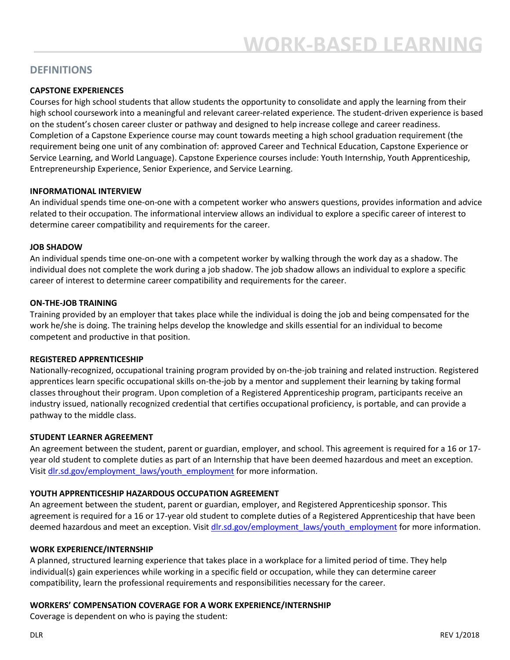# **DEFINITIONS**

#### **CAPSTONE EXPERIENCES**

Courses for high school students that allow students the opportunity to consolidate and apply the learning from their high school coursework into a meaningful and relevant career-related experience. The student-driven experience is based on the student's chosen career cluster or pathway and designed to help increase college and career readiness. Completion of a Capstone Experience course may count towards meeting a high school graduation requirement (the requirement being one unit of any combination of: approved Career and Technical Education, Capstone Experience or Service Learning, and World Language). Capstone Experience courses include: Youth Internship, Youth Apprenticeship, Entrepreneurship Experience, Senior Experience, and Service Learning.

#### **INFORMATIONAL INTERVIEW**

An individual spends time one-on-one with a competent worker who answers questions, provides information and advice related to their occupation. The informational interview allows an individual to explore a specific career of interest to determine career compatibility and requirements for the career.

#### **JOB SHADOW**

An individual spends time one-on-one with a competent worker by walking through the work day as a shadow. The individual does not complete the work during a job shadow. The job shadow allows an individual to explore a specific career of interest to determine career compatibility and requirements for the career.

#### **ON-THE-JOB TRAINING**

Training provided by an employer that takes place while the individual is doing the job and being compensated for the work he/she is doing. The training helps develop the knowledge and skills essential for an individual to become competent and productive in that position.

#### **REGISTERED APPRENTICESHIP**

Nationally-recognized, occupational training program provided by on-the-job training and related instruction. Registered apprentices learn specific occupational skills on-the-job by a mentor and supplement their learning by taking formal classes throughout their program. Upon completion of a Registered Apprenticeship program, participants receive an industry issued, nationally recognized credential that certifies occupational proficiency, is portable, and can provide a pathway to the middle class.

#### **STUDENT LEARNER AGREEMENT**

An agreement between the student, parent or guardian, employer, and school. This agreement is required for a 16 or 17 year old student to complete duties as part of an Internship that have been deemed hazardous and meet an exception. Visit [dlr.sd.gov/employment\\_laws/youth\\_employment](http://dlr.sd.gov/employment_laws/youth_employment.aspx) for more information.

#### **YOUTH APPRENTICESHIP HAZARDOUS OCCUPATION AGREEMENT**

An agreement between the student, parent or guardian, employer, and Registered Apprenticeship sponsor. This agreement is required for a 16 or 17-year old student to complete duties of a Registered Apprenticeship that have been deemed hazardous and meet an exception. Visi[t dlr.sd.gov/employment\\_laws/youth\\_employment](http://dlr.sd.gov/employment_laws/youth_employment.aspx) for more information.

#### **WORK EXPERIENCE/INTERNSHIP**

A planned, structured learning experience that takes place in a workplace for a limited period of time. They help individual(s) gain experiences while working in a specific field or occupation, while they can determine career compatibility, learn the professional requirements and responsibilities necessary for the career.

#### **WORKERS' COMPENSATION COVERAGE FOR A WORK EXPERIENCE/INTERNSHIP**

Coverage is dependent on who is paying the student: